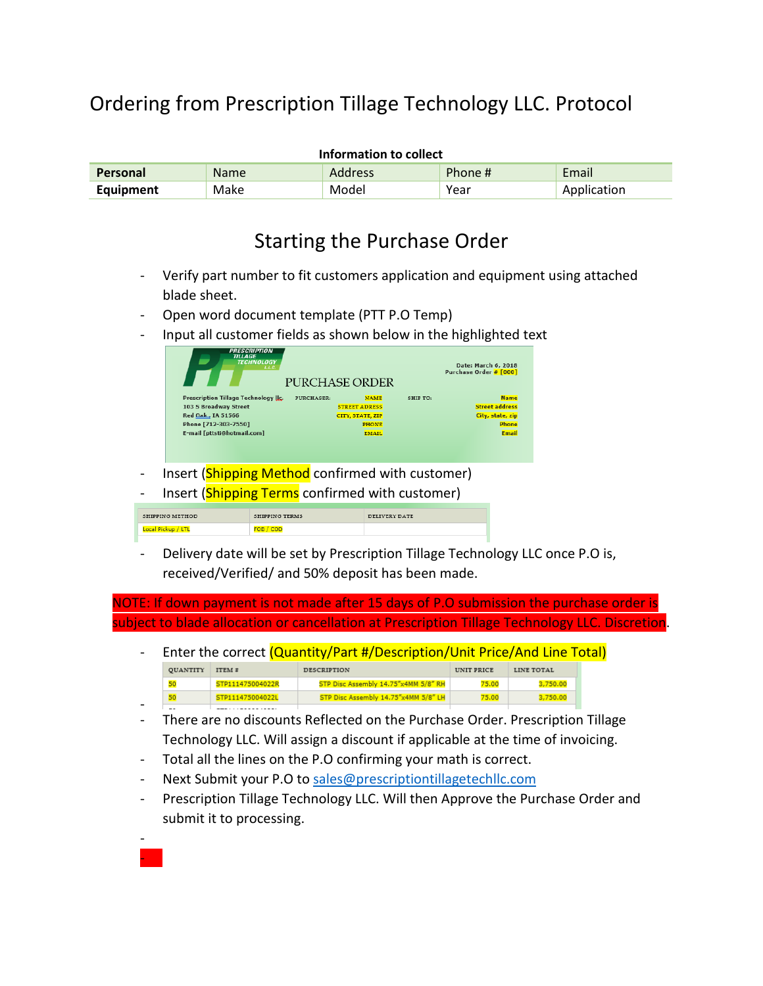## Ordering from Prescription Tillage Technology LLC. Protocol

| Information to collect |             |                |         |             |
|------------------------|-------------|----------------|---------|-------------|
| <b>Personal</b>        | <b>Name</b> | <b>Address</b> | Phone # | Email       |
| Equipment              | Make        | Model          | Year    | Application |

## Starting the Purchase Order

- Verify part number to fit customers application and equipment using attached blade sheet.
- Open word document template (PTT P.O Temp)
- Input all customer fields as shown below in the highlighted text

| <b>PRESCRIPTION</b><br><b>TILLAGE</b><br><b>TECHNOLOGY</b><br>LLC. | PURCHASE ORDER            |          | Date: March 6, 2018<br>Purchase Order # [000] |
|--------------------------------------------------------------------|---------------------------|----------|-----------------------------------------------|
| Prescription Tillage Technology IIc.                               | PURCHASER:<br><b>NAME</b> | SHIP TO: | <b>Name</b>                                   |
|                                                                    | <b>STREET ADRESS</b>      |          | <b>Street address</b>                         |
|                                                                    |                           |          | City, state, zip                              |
|                                                                    | CITY, STATE, ZIP          |          |                                               |
|                                                                    | <b>PHONE</b>              |          | Phone                                         |

- Insert (Shipping Method confirmed with customer)
- Insert (**Shipping Terms** confirmed with customer)

|             | SHIPPING TERMS | DELIVERY DATE |
|-------------|----------------|---------------|
| ocal Pickup |                |               |

Delivery date will be set by Prescription Tillage Technology LLC once P.O is, received/Verified/ and 50% deposit has been made.

NOTE: If down payment is not made after 15 days of P.O submission the purchase order is subject to blade allocation or cancellation at Prescription Tillage Technology LLC. Discretion.

|                          |                 |                  | Enter the correct (Quantity/Part #/Description/Unit Price/And Line Total) |            |            |  |
|--------------------------|-----------------|------------------|---------------------------------------------------------------------------|------------|------------|--|
|                          | <b>QUANTITY</b> | ITEM #           | <b>DESCRIPTION</b>                                                        | UNIT PRICE | LINE TOTAL |  |
|                          | 50              | STP111475004022R | STP Disc Assembly 14.75"x4MM 5/8" RH                                      | 75.00      | 3,750.00   |  |
|                          | 50              | STP111475004022L | STP Disc Assembly 14.75"x4MM 5/8" LH                                      | 75.00      | 3,750.00   |  |
| $\overline{\phantom{0}}$ | --              |                  |                                                                           |            |            |  |

- There are no discounts Reflected on the Purchase Order. Prescription Tillage Technology LLC. Will assign a discount if applicable at the time of invoicing.
- Total all the lines on the P.O confirming your math is correct.
- Next Submit your P.O to [sales@prescriptiontillagetechllc.com](mailto:sales@prescriptiontillagetechllc.com)

- -

Prescription Tillage Technology LLC. Will then Approve the Purchase Order and submit it to processing.